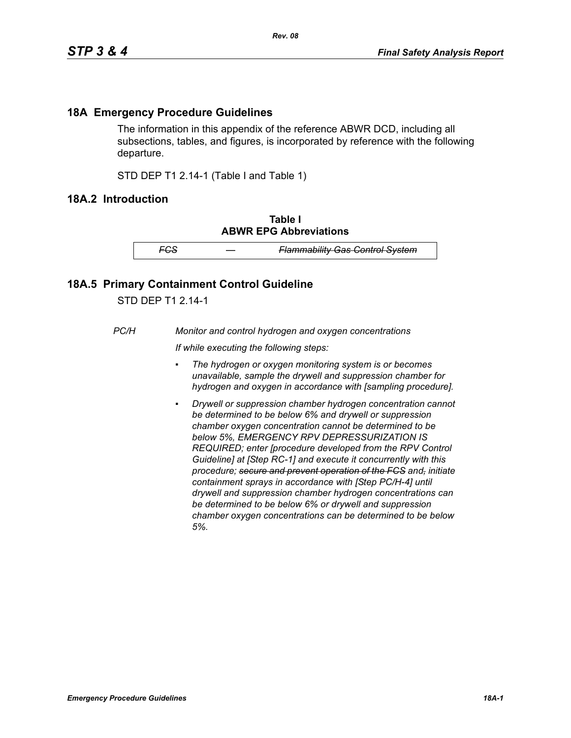## **18A Emergency Procedure Guidelines**

The information in this appendix of the reference ABWR DCD, including all subsections, tables, and figures, is incorporated by reference with the following departure.

STD DEP T1 2.14-1 (Table I and Table 1)

## **18A.2 Introduction**

**Table I ABWR EPG Abbreviations**

*FCS — Flammability Gas Control System*

## **18A.5 Primary Containment Control Guideline**

STD DEP T1 2.14-1

*PC/H Monitor and control hydrogen and oxygen concentrations*

*If while executing the following steps:*

- *▪ The hydrogen or oxygen monitoring system is or becomes unavailable, sample the drywell and suppression chamber for hydrogen and oxygen in accordance with [sampling procedure].*
- *Drywell or suppression chamber hydrogen concentration cannot be determined to be below 6% and drywell or suppression chamber oxygen concentration cannot be determined to be below 5%, EMERGENCY RPV DEPRESSURIZATION IS REQUIRED; enter [procedure developed from the RPV Control Guideline] at [Step RC-1] and execute it concurrently with this procedure; secure and prevent operation of the FCS and, initiate containment sprays in accordance with [Step PC/H-4] until drywell and suppression chamber hydrogen concentrations can be determined to be below 6% or drywell and suppression chamber oxygen concentrations can be determined to be below 5%.*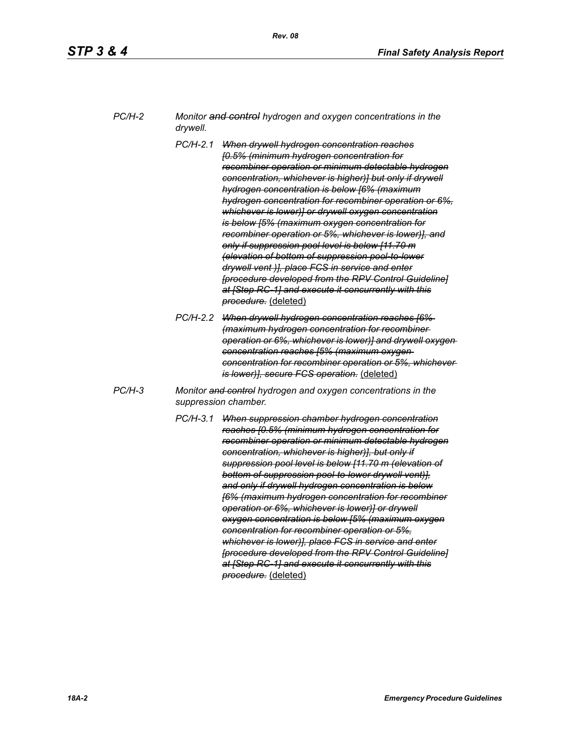| PC/H-2 | Monitor and control hydrogen and oxygen concentrations in the |
|--------|---------------------------------------------------------------|
|        | drywell.                                                      |

- *PC/H-2.1 When drywell hydrogen concentration reaches [0.5% (minimum hydrogen concentration for recombiner operation or minimum detectable hydrogen concentration, whichever is higher)] but only if drywell hydrogen concentration is below [6% (maximum hydrogen concentration for recombiner operation or 6%, whichever is lower)] or drywell oxygen concentration is below [5% (maximum oxygen concentration for recombiner operation or 5%, whichever is lower)], and only if suppression pool level is below [11.70 m (elevation of bottom of suppression pool-to-lower drywell vent )], place FCS in service and enter [procedure developed from the RPV Control Guideline] at [Step RC-1] and execute it concurrently with this procedure.* (deleted)
- *PC/H-2.2 When drywell hydrogen concentration reaches [6% (maximum hydrogen concentration for recombiner operation or 6%, whichever is lower)] and drywell oxygen concentration reaches [5% (maximum oxygen concentration for recombiner operation or 5%, whichever is lower)], secure FCS operation.* (deleted)
- *PC/H-3 Monitor and control hydrogen and oxygen concentrations in the suppression chamber.*
	- *PC/H-3.1 When suppression chamber hydrogen concentration reaches [0.5% (minimum hydrogen concentration for recombiner operation or minimum detectable hydrogen concentration, whichever is higher)], but only if suppression pool level is below [11.70 m (elevation of bottom of suppression pool-to-lower drywell vent)], and only if drywell hydrogen concentration is below [6% (maximum hydrogen concentration for recombiner operation or 6%, whichever is lower)] or drywell oxygen concentration is below [5% (maximum oxygen concentration for recombiner operation or 5%, whichever is lower)], place FCS in service and enter [procedure developed from the RPV Control Guideline] at [Step RC-1] and execute it concurrently with this procedure.* (deleted)